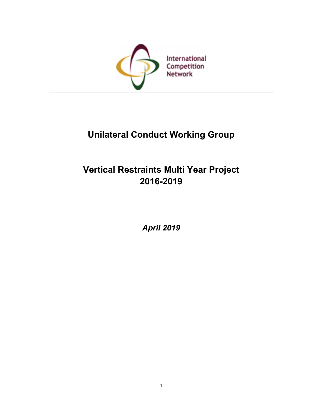

# Unilateral Conduct Working Group

# Vertical Restraints Multi Year Project 2016-2019

April 2019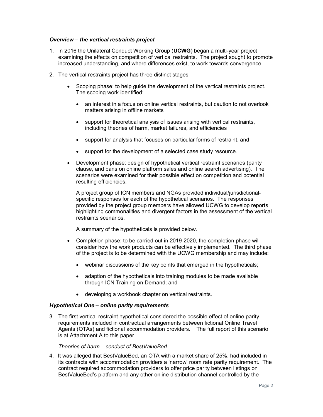### Overview – the vertical restraints project

- 1. In 2016 the Unilateral Conduct Working Group (UCWG) began a multi-year project examining the effects on competition of vertical restraints. The project sought to promote increased understanding, and where differences exist, to work towards convergence.
- 2. The vertical restraints project has three distinct stages
	- Scoping phase: to help guide the development of the vertical restraints project. The scoping work identified:
		- an interest in a focus on online vertical restraints, but caution to not overlook matters arising in offline markets
		- support for theoretical analysis of issues arising with vertical restraints, including theories of harm, market failures, and efficiencies
		- support for analysis that focuses on particular forms of restraint, and
		- support for the development of a selected case study resource.
	- Development phase: design of hypothetical vertical restraint scenarios (parity clause, and bans on online platform sales and online search advertising). The scenarios were examined for their possible effect on competition and potential resulting efficiencies.

A project group of ICN members and NGAs provided individual/jurisdictionalspecific responses for each of the hypothetical scenarios. The responses provided by the project group members have allowed UCWG to develop reports highlighting commonalities and divergent factors in the assessment of the vertical restraints scenarios.

A summary of the hypotheticals is provided below.

- Completion phase: to be carried out in 2019-2020, the completion phase will consider how the work products can be effectively implemented. The third phase of the project is to be determined with the UCWG membership and may include:
	- webinar discussions of the key points that emerged in the hypotheticals;
	- adaption of the hypotheticals into training modules to be made available through ICN Training on Demand; and
	- developing a workbook chapter on vertical restraints.

### Hypothetical One – online parity requirements

3. The first vertical restraint hypothetical considered the possible effect of online parity requirements included in contractual arrangements between fictional Online Travel Agents (OTAs) and fictional accommodation providers. The full report of this scenario is at  $Attentionment A$  to this paper.

### Theories of harm – conduct of BestValueBed

4. It was alleged that BestValueBed, an OTA with a market share of 25%, had included in its contracts with accommodation providers a 'narrow' room rate parity requirement. The contract required accommodation providers to offer price parity between listings on BestValueBed's platform and any other online distribution channel controlled by the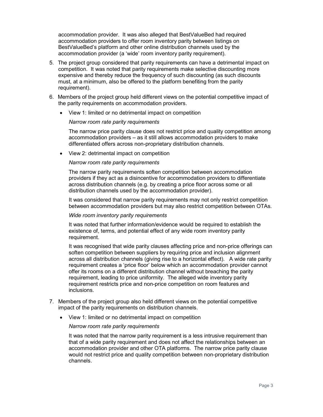accommodation provider. It was also alleged that BestValueBed had required accommodation providers to offer room inventory parity between listings on BestValueBed's platform and other online distribution channels used by the accommodation provider (a 'wide' room inventory parity requirement).

- 5. The project group considered that parity requirements can have a detrimental impact on competition. It was noted that parity requirements make selective discounting more expensive and thereby reduce the frequency of such discounting (as such discounts must, at a minimum, also be offered to the platform benefiting from the parity requirement).
- 6. Members of the project group held different views on the potential competitive impact of the parity requirements on accommodation providers.
	- View 1: limited or no detrimental impact on competition

#### Narrow room rate parity requirements

The narrow price parity clause does not restrict price and quality competition among accommodation providers – as it still allows accommodation providers to make differentiated offers across non-proprietary distribution channels.

View 2: detrimental impact on competition

#### Narrow room rate parity requirements

The narrow parity requirements soften competition between accommodation providers if they act as a disincentive for accommodation providers to differentiate across distribution channels (e.g. by creating a price floor across some or all distribution channels used by the accommodation provider).

It was considered that narrow parity requirements may not only restrict competition between accommodation providers but may also restrict competition between OTAs.

#### Wide room inventory parity requirements

It was noted that further information/evidence would be required to establish the existence of, terms, and potential effect of any wide room inventory parity requirement.

It was recognised that wide parity clauses affecting price and non-price offerings can soften competition between suppliers by requiring price and inclusion alignment across all distribution channels (giving rise to a horizontal effect). A wide rate parity requirement creates a 'price floor' below which an accommodation provider cannot offer its rooms on a different distribution channel without breaching the parity requirement, leading to price uniformity. The alleged wide inventory parity requirement restricts price and non-price competition on room features and inclusions.

- 7. Members of the project group also held different views on the potential competitive impact of the parity requirements on distribution channels.
	- View 1: limited or no detrimental impact on competition

#### Narrow room rate parity requirements

It was noted that the narrow parity requirement is a less intrusive requirement than that of a wide parity requirement and does not affect the relationships between an accommodation provider and other OTA platforms. The narrow price parity clause would not restrict price and quality competition between non-proprietary distribution channels.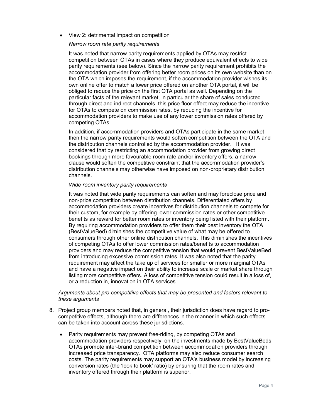View 2: detrimental impact on competition

#### Narrow room rate parity requirements

It was noted that narrow parity requirements applied by OTAs may restrict competition between OTAs in cases where they produce equivalent effects to wide parity requirements (see below). Since the narrow parity requirement prohibits the accommodation provider from offering better room prices on its own website than on the OTA which imposes the requirement, if the accommodation provider wishes its own online offer to match a lower price offered on another OTA portal, it will be obliged to reduce the price on the first OTA portal as well. Depending on the particular facts of the relevant market, in particular the share of sales conducted through direct and indirect channels, this price floor effect may reduce the incentive for OTAs to compete on commission rates, by reducing the incentive for accommodation providers to make use of any lower commission rates offered by competing OTAs.

In addition, if accommodation providers and OTAs participate in the same market then the narrow parity requirements would soften competition between the OTA and the distribution channels controlled by the accommodation provider. It was considered that by restricting an accommodation provider from growing direct bookings through more favourable room rate and/or inventory offers, a narrow clause would soften the competitive constraint that the accommodation provider's distribution channels may otherwise have imposed on non-proprietary distribution channels.

#### Wide room inventory parity requirements

It was noted that wide parity requirements can soften and may foreclose price and non-price competition between distribution channels. Differentiated offers by accommodation providers create incentives for distribution channels to compete for their custom, for example by offering lower commission rates or other competitive benefits as reward for better room rates or inventory being listed with their platform. By requiring accommodation providers to offer them their best inventory the OTA (BestValueBed) diminishes the competitive value of what may be offered to consumers through other online distribution channels. This diminishes the incentives of competing OTAs to offer lower commission rates/benefits to accommodation providers and may reduce the competitive tension that would prevent BestValueBed from introducing excessive commission rates. It was also noted that the parity requirement may affect the take up of services for smaller or more marginal OTAs and have a negative impact on their ability to increase scale or market share through listing more competitive offers. A loss of competitive tension could result in a loss of, or a reduction in, innovation in OTA services.

### Arguments about pro-competitive effects that may be presented and factors relevant to these arguments

- 8. Project group members noted that, in general, their jurisdiction does have regard to procompetitive effects, although there are differences in the manner in which such effects can be taken into account across these jurisdictions.
	- Parity requirements may prevent free-riding, by competing OTAs and accommodation providers respectively, on the investments made by BestValueBeds. OTAs promote inter-brand competition between accommodation providers through increased price transparency. OTA platforms may also reduce consumer search costs. The parity requirements may support an OTA's business model by increasing conversion rates (the 'look to book' ratio) by ensuring that the room rates and inventory offered through their platform is superior.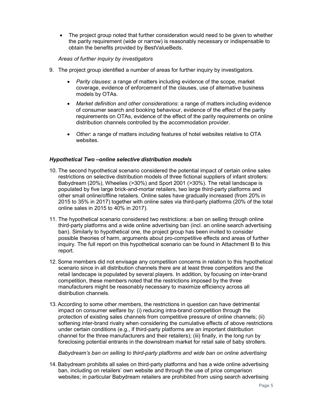The project group noted that further consideration would need to be given to whether the parity requirement (wide or narrow) is reasonably necessary or indispensable to obtain the benefits provided by BestValueBeds.

### Areas of further inquiry by investigators

- 9. The project group identified a number of areas for further inquiry by investigators.
	- Parity clauses: a range of matters including evidence of the scope, market coverage, evidence of enforcement of the clauses, use of alternative business models by OTAs.
	- Market definition and other considerations: a range of matters including evidence of consumer search and booking behaviour, evidence of the effect of the parity requirements on OTAs, evidence of the effect of the parity requirements on online distribution channels controlled by the accommodation provider.
	- Other: a range of matters including features of hotel websites relative to OTA websites.

### Hypothetical Two –online selective distribution models

- 10. The second hypothetical scenario considered the potential impact of certain online sales restrictions on selective distribution models of three fictional suppliers of infant strollers: Babydream (20%), Wheelies (>30%) and Sport 2001 (>30%). The retail landscape is populated by five large brick-and-mortar retailers, two large third-party platforms and other small online/offline retailers. Online sales have gradually increased (from 20% in 2015 to 35% in 2017) together with online sales via third-party platforms (20% of the total online sales in 2015 to 40% in 2017).
- 11. The hypothetical scenario considered two restrictions: a ban on selling through online third-party platforms and a wide online advertising ban (incl. an online search advertising ban). Similarly to hypothetical one, the project group has been invited to consider possible theories of harm, arguments about pro-competitive effects and areas of further inquiry. The full report on this hypothetical scenario can be found in Attachment B to this report.
- 12. Some members did not envisage any competition concerns in relation to this hypothetical scenario since in all distribution channels there are at least three competitors and the retail landscape is populated by several players. In addition, by focusing on inter-brand competition, these members noted that the restrictions imposed by the three manufacturers might be reasonably necessary to maximize efficiency across all distribution channels.
- 13. According to some other members, the restrictions in question can have detrimental impact on consumer welfare by: (i) reducing intra-brand competition through the protection of existing sales channels from competitive pressure of online channels; (ii) softening inter-brand rivalry when considering the cumulative effects of above restrictions under certain conditions (e.g., if third-party platforms are an important distribution channel for the three manufacturers and their retailers); (iii) finally, in the long run by foreclosing potential entrants in the downstream market for retail sale of baby strollers.

Babydream's ban on selling to third-party platforms and wide ban on online advertising

14. Babydream prohibits all sales on third-party platforms and has a wide online advertising ban, including on retailers' own website and through the use of price comparison websites; in particular Babydream retailers are prohibited from using search advertising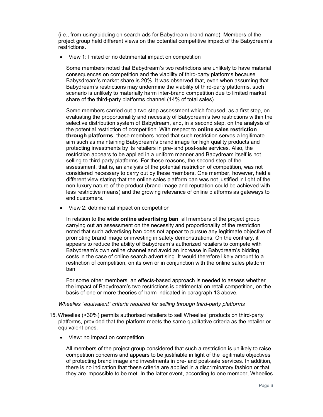(i.e., from using/bidding on search ads for Babydream brand name). Members of the project group held different views on the potential competitive impact of the Babydream's restrictions.

View 1: limited or no detrimental impact on competition

Some members noted that Babydream's two restrictions are unlikely to have material consequences on competition and the viability of third-party platforms because Babysdream's market share is 20%. It was observed that, even when assuming that Babydream's restrictions may undermine the viability of third-party platforms, such scenario is unlikely to materially harm inter-brand competition due to limited market share of the third-party platforms channel (14% of total sales).

Some members carried out a two-step assessment which focused, as a first step, on evaluating the proportionality and necessity of Babydream's two restrictions within the selective distribution system of Babydream, and, in a second step, on the analysis of the potential restriction of competition. With respect to online sales restriction through platforms, these members noted that such restriction serves a legitimate aim such as maintaining Babydream's brand image for high quality products and protecting investments by its retailers in pre- and post-sale services. Also, the restriction appears to be applied in a uniform manner and Babydream itself is not selling to third-party platforms. For these reasons, the second step of the assessment, that is, an analysis of the potential restriction of competition, was not considered necessary to carry out by these members. One member, however, held a different view stating that the online sales platform ban was not justified in light of the non-luxury nature of the product (brand image and reputation could be achieved with less restrictive means) and the growing relevance of online platforms as gateways to end customers.

View 2: detrimental impact on competition

In relation to the wide online advertising ban, all members of the project group carrying out an assessment on the necessity and proportionality of the restriction noted that such advertising ban does not appear to pursue any legitimate objective of promoting brand image or investing in safety demonstrations. On the contrary, it appears to reduce the ability of Babydream's authorized retailers to compete with Babydream's own online channel and avoid an increase in Babydream's bidding costs in the case of online search advertising. It would therefore likely amount to a restriction of competition, on its own or in conjunction with the online sales platform ban.

For some other members, an effects-based approach is needed to assess whether the impact of Babydream's two restrictions is detrimental on retail competition, on the basis of one or more theories of harm indicated in paragraph 13 above.

### Wheelies "equivalent" criteria required for selling through third-party platforms

- 15. Wheelies (>30%) permits authorised retailers to sell Wheelies' products on third-party platforms, provided that the platform meets the same qualitative criteria as the retailer or equivalent ones.
	- View: no impact on competition

All members of the project group considered that such a restriction is unlikely to raise competition concerns and appears to be justifiable in light of the legitimate objectives of protecting brand image and investments in pre- and post-sale services. In addition, there is no indication that these criteria are applied in a discriminatory fashion or that they are impossible to be met. In the latter event, according to one member, Wheelies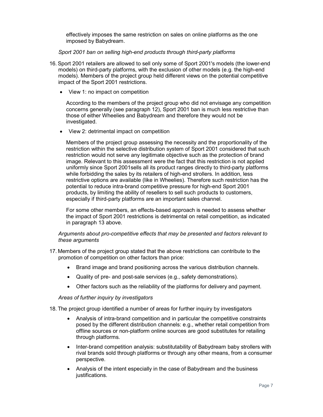effectively imposes the same restriction on sales on online platforms as the one imposed by Babydream.

Sport 2001 ban on selling high-end products through third-party platforms

- 16. Sport 2001 retailers are allowed to sell only some of Sport 2001's models (the lower-end models) on third-party platforms, with the exclusion of other models (e.g. the high-end models). Members of the project group held different views on the potential competitive impact of the Sport 2001 restrictions.
	- View 1: no impact on competition

According to the members of the project group who did not envisage any competition concerns generally (see paragraph 12), Sport 2001 ban is much less restrictive than those of either Wheelies and Babydream and therefore they would not be investigated.

View 2: detrimental impact on competition

Members of the project group assessing the necessity and the proportionality of the restriction within the selective distribution system of Sport 2001 considered that such restriction would not serve any legitimate objective such as the protection of brand image. Relevant to this assessment were the fact that this restriction is not applied uniformly since Sport 2001sells all its product ranges directly to third-party platforms while forbidding the sales by its retailers of high-end strollers. In addition, less restrictive options are available (like in Wheelies). Therefore such restriction has the potential to reduce intra-brand competitive pressure for high-end Sport 2001 products, by limiting the ability of resellers to sell such products to customers, especially if third-party platforms are an important sales channel.

For some other members, an effects-based approach is needed to assess whether the impact of Sport 2001 restrictions is detrimental on retail competition, as indicated in paragraph 13 above.

### Arguments about pro-competitive effects that may be presented and factors relevant to these arguments

- 17. Members of the project group stated that the above restrictions can contribute to the promotion of competition on other factors than price:
	- Brand image and brand positioning across the various distribution channels.
	- Quality of pre- and post-sale services (e.g., safety demonstrations).
	- Other factors such as the reliability of the platforms for delivery and payment.

Areas of further inquiry by investigators

18. The project group identified a number of areas for further inquiry by investigators

- Analysis of intra-brand competition and in particular the competitive constraints posed by the different distribution channels: e.g., whether retail competition from offline sources or non-platform online sources are good substitutes for retailing through platforms.
- Inter-brand competition analysis: substitutability of Babydream baby strollers with rival brands sold through platforms or through any other means, from a consumer perspective.
- Analysis of the intent especially in the case of Babydream and the business justifications.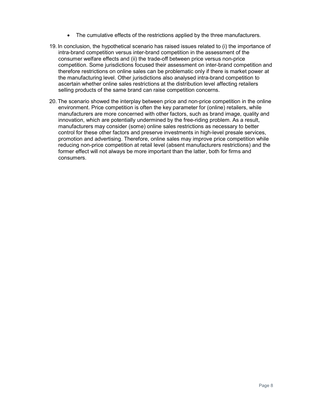- The cumulative effects of the restrictions applied by the three manufacturers.
- 19. In conclusion, the hypothetical scenario has raised issues related to (i) the importance of intra-brand competition versus inter-brand competition in the assessment of the consumer welfare effects and (ii) the trade-off between price versus non-price competition. Some jurisdictions focused their assessment on inter-brand competition and therefore restrictions on online sales can be problematic only if there is market power at the manufacturing level. Other jurisdictions also analysed intra-brand competition to ascertain whether online sales restrictions at the distribution level affecting retailers selling products of the same brand can raise competition concerns.
- 20. The scenario showed the interplay between price and non-price competition in the online environment. Price competition is often the key parameter for (online) retailers, while manufacturers are more concerned with other factors, such as brand image, quality and innovation, which are potentially undermined by the free-riding problem. As a result, manufacturers may consider (some) online sales restrictions as necessary to better control for these other factors and preserve investments in high-level presale services, promotion and advertising. Therefore, online sales may improve price competition while reducing non-price competition at retail level (absent manufacturers restrictions) and the former effect will not always be more important than the latter, both for firms and consumers.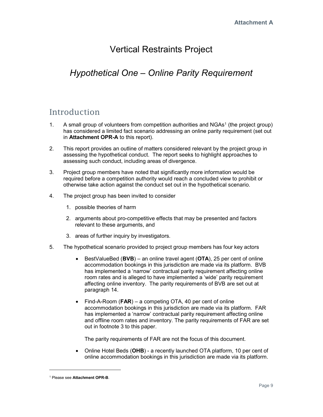## Vertical Restraints Project

# Hypothetical One – Online Parity Requirement

## Introduction

- 1. A small group of volunteers from competition authorities and NGAs<sup>1</sup> (the project group) has considered a limited fact scenario addressing an online parity requirement (set out in Attachment OPR-A to this report).
- 2. This report provides an outline of matters considered relevant by the project group in assessing the hypothetical conduct. The report seeks to highlight approaches to assessing such conduct, including areas of divergence.
- 3. Project group members have noted that significantly more information would be required before a competition authority would reach a concluded view to prohibit or otherwise take action against the conduct set out in the hypothetical scenario.
- 4. The project group has been invited to consider
	- 1. possible theories of harm
	- 2. arguments about pro-competitive effects that may be presented and factors relevant to these arguments, and
	- 3. areas of further inquiry by investigators.
- 5. The hypothetical scenario provided to project group members has four key actors
	- **BestValueBed (BVB)** an online travel agent ( $\overline{OTA}$ ), 25 per cent of online accommodation bookings in this jurisdiction are made via its platform. BVB has implemented a 'narrow' contractual parity requirement affecting online room rates and is alleged to have implemented a 'wide' parity requirement affecting online inventory. The parity requirements of BVB are set out at paragraph 14.
	- Find-A-Room (FAR) a competing OTA, 40 per cent of online accommodation bookings in this jurisdiction are made via its platform. FAR has implemented a 'narrow' contractual parity requirement affecting online and offline room rates and inventory. The parity requirements of FAR are set out in footnote 3 to this paper.

The parity requirements of FAR are not the focus of this document.

 Online Hotel Beds (OHB) - a recently launched OTA platform, 10 per cent of online accommodation bookings in this jurisdiction are made via its platform.

-

<sup>&</sup>lt;sup>1</sup> Please see Attachment OPR-B.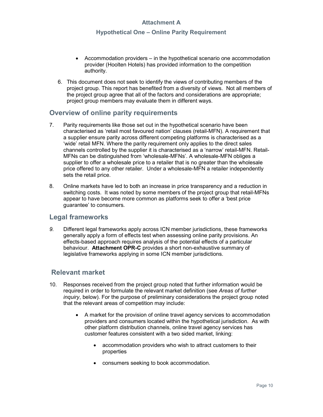### Hypothetical One – Online Parity Requirement

- Accommodation providers in the hypothetical scenario one accommodation provider (Hoolten Hotels) has provided information to the competition authority.
- 6. This document does not seek to identify the views of contributing members of the project group. This report has benefited from a diversity of views. Not all members of the project group agree that all of the factors and considerations are appropriate; project group members may evaluate them in different ways.

## Overview of online parity requirements

- 7. Parity requirements like those set out in the hypothetical scenario have been characterised as 'retail most favoured nation' clauses (retail-MFN). A requirement that a supplier ensure parity across different competing platforms is characterised as a 'wide' retail MFN. Where the parity requirement only applies to the direct sales channels controlled by the supplier it is characterised as a 'narrow' retail-MFN. Retail-MFNs can be distinguished from 'wholesale-MFNs'. A wholesale-MFN obliges a supplier to offer a wholesale price to a retailer that is no greater than the wholesale price offered to any other retailer. Under a wholesale-MFN a retailer independently sets the retail price.
- 8. Online markets have led to both an increase in price transparency and a reduction in switching costs. It was noted by some members of the project group that retail-MFNs appear to have become more common as platforms seek to offer a 'best price guarantee' to consumers.

## Legal frameworks

9. Different legal frameworks apply across ICN member jurisdictions, these frameworks generally apply a form of effects test when assessing online parity provisions. An effects-based approach requires analysis of the potential effects of a particular behaviour. Attachment OPR-C provides a short non-exhaustive summary of legislative frameworks applying in some ICN member jurisdictions.

## Relevant market

- 10. Responses received from the project group noted that further information would be required in order to formulate the relevant market definition (see Areas of further inquiry, below). For the purpose of preliminary considerations the project group noted that the relevant areas of competition may include:
	- A market for the provision of online travel agency services to accommodation providers and consumers located within the hypothetical jurisdiction. As with other platform distribution channels, online travel agency services has customer features consistent with a two sided market, linking:
		- accommodation providers who wish to attract customers to their properties
		- consumers seeking to book accommodation.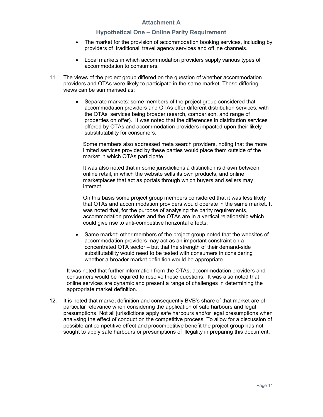### Hypothetical One – Online Parity Requirement

- The market for the provision of accommodation booking services, including by providers of 'traditional' travel agency services and offline channels.
- Local markets in which accommodation providers supply various types of accommodation to consumers.
- 11. The views of the project group differed on the question of whether accommodation providers and OTAs were likely to participate in the same market. These differing views can be summarised as:
	- Separate markets: some members of the project group considered that accommodation providers and OTAs offer different distribution services, with the OTAs' services being broader (search, comparison, and range of properties on offer). It was noted that the differences in distribution services offered by OTAs and accommodation providers impacted upon their likely substitutability for consumers.

Some members also addressed meta search providers, noting that the more limited services provided by these parties would place them outside of the market in which OTAs participate.

It was also noted that in some jurisdictions a distinction is drawn between online retail, in which the website sells its own products, and online marketplaces that act as portals through which buyers and sellers may interact.

On this basis some project group members considered that it was less likely that OTAs and accommodation providers would operate in the same market. It was noted that, for the purpose of analysing the parity requirements, accommodation providers and the OTAs are in a vertical relationship which could give rise to anti-competitive horizontal effects.

 Same market: other members of the project group noted that the websites of accommodation providers may act as an important constraint on a concentrated OTA sector – but that the strength of their demand-side substitutability would need to be tested with consumers in considering whether a broader market definition would be appropriate.

It was noted that further information from the OTAs, accommodation providers and consumers would be required to resolve these questions. It was also noted that online services are dynamic and present a range of challenges in determining the appropriate market definition.

12. It is noted that market definition and consequently BVB's share of that market are of particular relevance when considering the application of safe harbours and legal presumptions. Not all jurisdictions apply safe harbours and/or legal presumptions when analysing the effect of conduct on the competitive process. To allow for a discussion of possible anticompetitive effect and procompetitive benefit the project group has not sought to apply safe harbours or presumptions of illegality in preparing this document.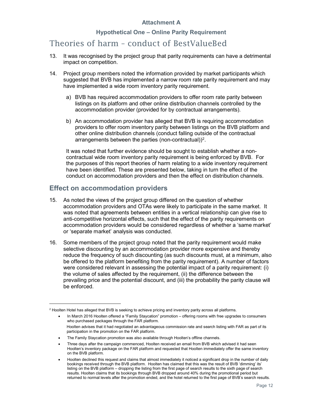### Hypothetical One – Online Parity Requirement

## Theories of harm – conduct of BestValueBed

- 13. It was recognised by the project group that parity requirements can have a detrimental impact on competition.
- 14. Project group members noted the information provided by market participants which suggested that BVB has implemented a narrow room rate parity requirement and may have implemented a wide room inventory parity requirement.
	- a) BVB has required accommodation providers to offer room rate parity between listings on its platform and other online distribution channels controlled by the accommodation provider (provided for by contractual arrangements).
	- b) An accommodation provider has alleged that BVB is requiring accommodation providers to offer room inventory parity between listings on the BVB platform and other online distribution channels (conduct falling outside of the contractual arrangements between the parties (non-contractual))<sup>2</sup>.

It was noted that further evidence should be sought to establish whether a noncontractual wide room inventory parity requirement is being enforced by BVB. For the purposes of this report theories of harm relating to a wide inventory requirement have been identified. These are presented below, taking in turn the effect of the conduct on accommodation providers and then the effect on distribution channels.

## Effect on accommodation providers

-

- 15. As noted the views of the project group differed on the question of whether accommodation providers and OTAs were likely to participate in the same market. It was noted that agreements between entities in a vertical relationship can give rise to anti-competitive horizontal effects, such that the effect of the parity requirements on accommodation providers would be considered regardless of whether a 'same market' or 'separate market' analysis was conducted.
- 16. Some members of the project group noted that the parity requirement would make selective discounting by an accommodation provider more expensive and thereby reduce the frequency of such discounting (as such discounts must, at a minimum, also be offered to the platform benefiting from the parity requirement). A number of factors were considered relevant in assessing the potential impact of a parity requirement: (i) the volume of sales affected by the requirement, (ii) the difference between the prevailing price and the potential discount, and (iii) the probability the parity clause will be enforced.

<sup>2</sup> Hoolten Hotel has alleged that BVB is seeking to achieve pricing and inventory parity across all platforms.

In March 2016 Hoolten offered a "Family Staycation" promotion – offering rooms with free upgrades to consumers who purchased packages through the FAR platform. Hoolten advises that it had negotiated an advantageous commission rate and search listing with FAR as part of its participation in the promotion on the FAR platform.

The Family Staycation promotion was also available through Hoolten's offline channels.

Three days after the campaign commenced, Hoolten received an email from BVB which advised it had seen Hoolten's inventory package on the FAR platform and requested that Hoolten immediately offer the same inventory on the BVB platform.

Hoolten declined this request and claims that almost immediately it noticed a significant drop in the number of daily bookings received through the BVB platform. Hoolten has claimed that this was the result of BVB 'dimming' its' listing on the BVB platform – dropping the listing from the first page of search results to the sixth page of search results. Hoolten claims that its bookings through BVB dropped around 40% during the promotional period but returned to normal levels after the promotion ended, and the hotel returned to the first page of BVB's search results.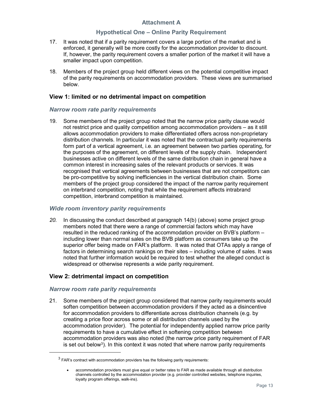### Hypothetical One – Online Parity Requirement

- 17. It was noted that if a parity requirement covers a large portion of the market and is enforced, it generally will be more costly for the accommodation provider to discount. If, however, the parity requirement covers a smaller portion of the market it will have a smaller impact upon competition.
- 18. Members of the project group held different views on the potential competitive impact of the parity requirements on accommodation providers. These views are summarised below.

### View 1: limited or no detrimental impact on competition

### Narrow room rate parity requirements

19. Some members of the project group noted that the narrow price parity clause would not restrict price and quality competition among accommodation providers – as it still allows accommodation providers to make differentiated offers across non-proprietary distribution channels. In particular it was noted that the contractual parity requirements form part of a vertical agreement, i.e. an agreement between two parties operating, for the purposes of the agreement, on different levels of the supply chain. Independent businesses active on different levels of the same distribution chain in general have a common interest in increasing sales of the relevant products or services. It was recognised that vertical agreements between businesses that are not competitors can be pro-competitive by solving inefficiencies in the vertical distribution chain. Some members of the project group considered the impact of the narrow parity requirement on interbrand competition, noting that while the requirement affects intrabrand competition, interbrand competition is maintained.

### Wide room inventory parity requirements

20. In discussing the conduct described at paragraph 14(b) (above) some project group members noted that there were a range of commercial factors which may have resulted in the reduced ranking of the accommodation provider on BVB's platform – including lower than normal sales on the BVB platform as consumers take up the superior offer being made on FAR's platform. It was noted that OTAs apply a range of factors in determining search rankings on their sites – including volume of sales. It was noted that further information would be required to test whether the alleged conduct is widespread or otherwise represents a wide parity requirement.

### View 2: detrimental impact on competition

### Narrow room rate parity requirements

-

21. Some members of the project group considered that narrow parity requirements would soften competition between accommodation providers if they acted as a disincentive for accommodation providers to differentiate across distribution channels (e.g. by creating a price floor across some or all distribution channels used by the accommodation provider). The potential for independently applied narrow price parity requirements to have a cumulative effect in softening competition between accommodation providers was also noted (the narrow price parity requirement of FAR is set out below<sup>3</sup>). In this context it was noted that where narrow parity requirements

 $3$  FAR's contract with accommodation providers has the following parity requirements:

accommodation providers must give equal or better rates to FAR as made available through all distribution channels controlled by the accommodation provider (e.g. provider controlled websites, telephone inquiries, loyalty program offerings, walk-ins).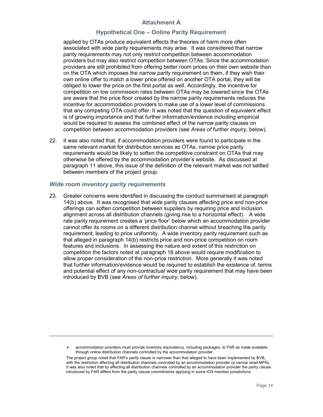### Hypothetical One – Online Parity Requirement

applied by OTAs produce equivalent effects the theories of harm more often associated with wide parity requirements may arise. It was considered that narrow parity requirements may not only restrict competition between accommodation providers but may also restrict competition between OTAs. Since the accommodation providers are still prohibited from offering better room prices on their own website than on the OTA which imposes the narrow parity requirement on them, if they wish their own online offer to match a lower price offered on another OTA portal, they will be obliged to lower the price on the first portal as well. Accordingly, the incentive for competition on low commission rates between OTAs may be lowered since the OTAs are aware that the price floor created by the narrow parity requirements reduces the incentive for accommodation providers to make use of a lower level of commissions that any competing OTA could offer. It was noted that the question of equivalent effect is of growing importance and that further information/evidence including empirical would be required to assess the combined effect of the narrow parity clauses on competition between accommodation providers (see Areas of further inquiry, below).

22. It was also noted that, if accommodation providers were found to participate in the same relevant market for distribution services as OTAs, narrow price parity requirements would be likely to soften the competitive constraint on OTAs that may otherwise be offered by the accommodation provider's website. As discussed at paragraph 11 above, this issue of the definition of the relevant market was not settled between members of the project group.

### Wide room inventory parity requirements

-

23. Greater concerns were identified in discussing the conduct summarised at paragraph 14(b) above. It was recognised that wide parity clauses affecting price and non-price offerings can soften competition between suppliers by requiring price and inclusion alignment across all distribution channels (giving rise to a horizontal effect). A wide rate parity requirement creates a 'price floor' below which an accommodation provider cannot offer its rooms on a different distribution channel without breaching the parity requirement, leading to price uniformity. A wide inventory parity requirement such as that alleged in paragraph 14(b) restricts price and non-price competition on room features and inclusions. In assessing the nature and extent of this restriction on competition the factors noted at paragraph 16 above would require modification to allow proper consideration of the non-price restriction. More generally it was noted that further information/evidence would be required to establish the existence of, terms and potential effect of any non-contractual wide parity requirement that may have been introduced by BVB (see Areas of further inquiry, below).

accommodation providers must provide inventory equivalency, including packages, to FAR as made available through online distribution channels controlled by the accommodation provider.

The project group noted that FAR's parity clause is narrower than that alleged to have been implemented by BVB, with the restriction affecting all distribution channels controlled by an accommodation provider (a narrow retail-MFN). It was also noted that by affecting all distribution channels controlled by an accommodation provider the parity clause introduced by FAR differs from the parity clause commitments applying in some ICN member jurisdictions.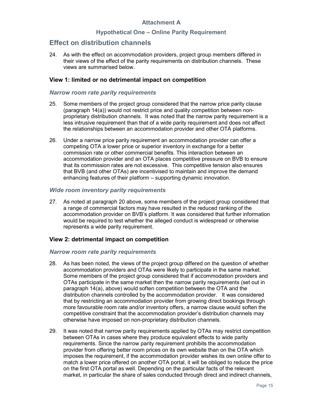### Hypothetical One – Online Parity Requirement

## Effect on distribution channels

24. As with the effect on accommodation providers, project group members differed in their views of the effect of the parity requirements on distribution channels. These views are summarised below.

### View 1: limited or no detrimental impact on competition

### Narrow room rate parity requirements

- 25. Some members of the project group considered that the narrow price parity clause (paragraph 14(a)) would not restrict price and quality competition between nonproprietary distribution channels. It was noted that the narrow parity requirement is a less intrusive requirement than that of a wide parity requirement and does not affect the relationships between an accommodation provider and other OTA platforms.
- 26. Under a narrow price parity requirement an accommodation provider can offer a competing OTA a lower price or superior inventory in exchange for a better commission rate or other commercial benefits. This interaction between an accommodation provider and an OTA places competitive pressure on BVB to ensure that its commission rates are not excessive. This competitive tension also ensures that BVB (and other OTAs) are incentivised to maintain and improve the demand enhancing features of their platform – supporting dynamic innovation.

### Wide room inventory parity requirements

27. As noted at paragraph 20 above, some members of the project group considered that a range of commercial factors may have resulted in the reduced ranking of the accommodation provider on BVB's platform. It was considered that further information would be required to test whether the alleged conduct is widespread or otherwise represents a wide parity requirement.

### View 2: detrimental impact on competition

### Narrow room rate parity requirements

- 28. As has been noted, the views of the project group differed on the question of whether accommodation providers and OTAs were likely to participate in the same market. Some members of the project group considered that if accommodation providers and OTAs participate in the same market then the narrow parity requirements (set out in paragraph 14(a), above) would soften competition between the OTA and the distribution channels controlled by the accommodation provider. It was considered that by restricting an accommodation provider from growing direct bookings through more favourable room rate and/or inventory offers, a narrow clause would soften the competitive constraint that the accommodation provider's distribution channels may otherwise have imposed on non-proprietary distribution channels.
- 29. It was noted that narrow parity requirements applied by OTAs may restrict competition between OTAs in cases where they produce equivalent effects to wide parity requirements. Since the narrow parity requirement prohibits the accommodation provider from offering better room prices on its own website than on the OTA which imposes the requirement, if the accommodation provider wishes its own online offer to match a lower price offered on another OTA portal, it will be obliged to reduce the price on the first OTA portal as well. Depending on the particular facts of the relevant market, in particular the share of sales conducted through direct and indirect channels,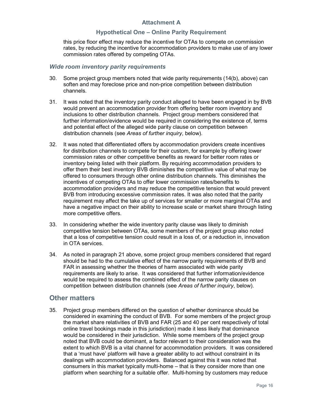### Hypothetical One – Online Parity Requirement

this price floor effect may reduce the incentive for OTAs to compete on commission rates, by reducing the incentive for accommodation providers to make use of any lower commission rates offered by competing OTAs.

### Wide room inventory parity requirements

- 30. Some project group members noted that wide parity requirements (14(b), above) can soften and may foreclose price and non-price competition between distribution channels.
- 31. It was noted that the inventory parity conduct alleged to have been engaged in by BVB would prevent an accommodation provider from offering better room inventory and inclusions to other distribution channels. Project group members considered that further information/evidence would be required in considering the existence of, terms and potential effect of the alleged wide parity clause on competition between distribution channels (see Areas of further inquiry, below).
- 32. It was noted that differentiated offers by accommodation providers create incentives for distribution channels to compete for their custom, for example by offering lower commission rates or other competitive benefits as reward for better room rates or inventory being listed with their platform. By requiring accommodation providers to offer them their best inventory BVB diminishes the competitive value of what may be offered to consumers through other online distribution channels. This diminishes the incentives of competing OTAs to offer lower commission rates/benefits to accommodation providers and may reduce the competitive tension that would prevent BVB from introducing excessive commission rates. It was also noted that the parity requirement may affect the take up of services for smaller or more marginal OTAs and have a negative impact on their ability to increase scale or market share through listing more competitive offers.
- 33. In considering whether the wide inventory parity clause was likely to diminish competitive tension between OTAs, some members of the project group also noted that a loss of competitive tension could result in a loss of, or a reduction in, innovation in OTA services.
- 34. As noted in paragraph 21 above, some project group members considered that regard should be had to the cumulative effect of the narrow parity requirements of BVB and FAR in assessing whether the theories of harm associated with wide parity requirements are likely to arise. It was considered that further information/evidence would be required to assess the combined effect of the narrow parity clauses on competition between distribution channels (see Areas of further inquiry, below).

## Other matters

35. Project group members differed on the question of whether dominance should be considered in examining the conduct of BVB. For some members of the project group the market share relativities of BVB and FAR (25 and 40 per cent respectively of total online travel bookings made in this jurisdiction) made it less likely that dominance would be considered in their jurisdiction. While some members of the project group noted that BVB could be dominant, a factor relevant to their consideration was the extent to which BVB is a vital channel for accommodation providers. It was considered that a 'must have' platform will have a greater ability to act without constraint in its dealings with accommodation providers. Balanced against this it was noted that consumers in this market typically multi-home – that is they consider more than one platform when searching for a suitable offer. Multi-homing by customers may reduce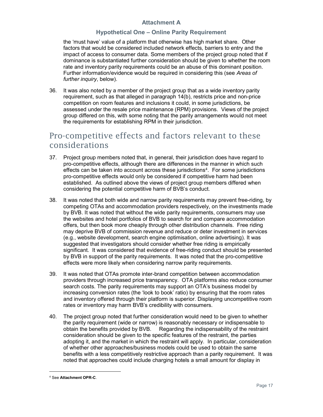### Hypothetical One – Online Parity Requirement

the 'must have' value of a platform that otherwise has high market share. Other factors that would be considered included network effects, barriers to entry and the impact of access to consumer data. Some members of the project group noted that if dominance is substantiated further consideration should be given to whether the room rate and inventory parity requirements could be an abuse of this dominant position. Further information/evidence would be required in considering this (see Areas of further inquiry, below).

36. It was also noted by a member of the project group that as a wide inventory parity requirement, such as that alleged in paragraph 14(b), restricts price and non-price competition on room features and inclusions it could, in some jurisdictions, be assessed under the resale price maintenance (RPM) provisions. Views of the project group differed on this, with some noting that the parity arrangements would not meet the requirements for establishing RPM in their jurisdiction.

## Pro-competitive effects and factors relevant to these considerations

- 37. Project group members noted that, in general, their jurisdiction does have regard to pro-competitive effects, although there are differences in the manner in which such effects can be taken into account across these jurisdictions<sup>4</sup>. For some jurisdictions pro-competitive effects would only be considered if competitive harm had been established. As outlined above the views of project group members differed when considering the potential competitive harm of BVB's conduct.
- 38. It was noted that both wide and narrow parity requirements may prevent free-riding, by competing OTAs and accommodation providers respectively, on the investments made by BVB. It was noted that without the wide parity requirements, consumers may use the websites and hotel portfolios of BVB to search for and compare accommodation offers, but then book more cheaply through other distribution channels. Free riding may deprive BVB of commission revenue and reduce or deter investment in services (e.g., website development, search engine optimisation, online advertising). It was suggested that investigators should consider whether free riding is empirically significant. It was considered that evidence of free-riding conduct should be presented by BVB in support of the parity requirements. It was noted that the pro-competitive effects were more likely when considering narrow parity requirements.
- 39. It was noted that OTAs promote inter-brand competition between accommodation providers through increased price transparency. OTA platforms also reduce consumer search costs. The parity requirements may support an OTA's business model by increasing conversion rates (the 'look to book' ratio) by ensuring that the room rates and inventory offered through their platform is superior. Displaying uncompetitive room rates or inventory may harm BVB's credibility with consumers.
- 40. The project group noted that further consideration would need to be given to whether the parity requirement (wide or narrow) is reasonably necessary or indispensable to obtain the benefits provided by BVB. Regarding the indispensability of the restraint consideration should be given to the specific features of the restraint, the parties adopting it, and the market in which the restraint will apply. In particular, consideration of whether other approaches/business models could be used to obtain the same benefits with a less competitively restrictive approach than a parity requirement. It was noted that approaches could include charging hotels a small amount for display in

-

<sup>4</sup> See Attachment OPR-C.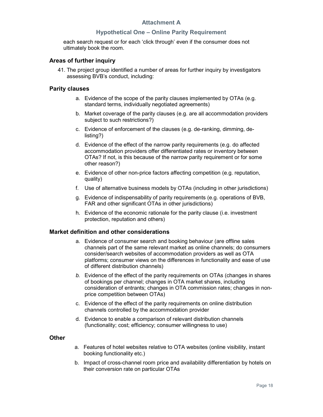### Hypothetical One – Online Parity Requirement

each search request or for each 'click through' even if the consumer does not ultimately book the room.

### Areas of further inquiry

41. The project group identified a number of areas for further inquiry by investigators assessing BVB's conduct, including:

#### Parity clauses

- a. Evidence of the scope of the parity clauses implemented by OTAs (e.g. standard terms, individually negotiated agreements)
- b. Market coverage of the parity clauses (e.g. are all accommodation providers subject to such restrictions?)
- c. Evidence of enforcement of the clauses (e.g. de-ranking, dimming, delisting?)
- d. Evidence of the effect of the narrow parity requirements (e.g. do affected accommodation providers offer differentiated rates or inventory between OTAs? If not, is this because of the narrow parity requirement or for some other reason?)
- e. Evidence of other non-price factors affecting competition (e.g. reputation, quality)
- f. Use of alternative business models by OTAs (including in other jurisdictions)
- g. Evidence of indispensability of parity requirements (e.g. operations of BVB, FAR and other significant OTAs in other jurisdictions)
- h. Evidence of the economic rationale for the parity clause (i.e. investment protection, reputation and others)

### Market definition and other considerations

- a. Evidence of consumer search and booking behaviour (are offline sales channels part of the same relevant market as online channels; do consumers consider/search websites of accommodation providers as well as OTA platforms; consumer views on the differences in functionality and ease of use of different distribution channels)
- b. Evidence of the effect of the parity requirements on OTAs (changes in shares of bookings per channel; changes in OTA market shares, including consideration of entrants; changes in OTA commission rates; changes in nonprice competition between OTAs)
- c. Evidence of the effect of the parity requirements on online distribution channels controlled by the accommodation provider
- d. Evidence to enable a comparison of relevant distribution channels (functionality; cost; efficiency; consumer willingness to use)

#### Other

- a. Features of hotel websites relative to OTA websites (online visibility, instant booking functionality etc.)
- b. Impact of cross-channel room price and availability differentiation by hotels on their conversion rate on particular OTAs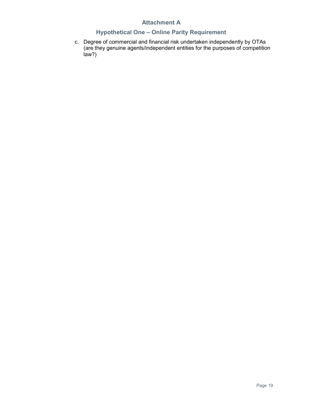## Hypothetical One – Online Parity Requirement

c. Degree of commercial and financial risk undertaken independently by OTAs (are they genuine agents/independent entities for the purposes of competition law?)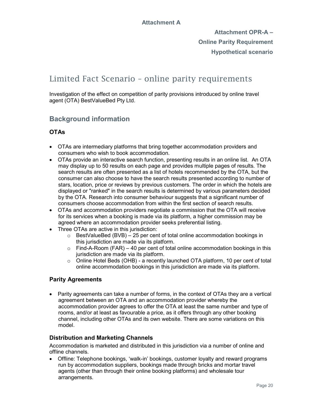Attachment OPR-A – Online Parity Requirement Hypothetical scenario

## Limited Fact Scenario – online parity requirements

Investigation of the effect on competition of parity provisions introduced by online travel agent (OTA) BestValueBed Pty Ltd.

## Background information

## OTAs

- OTAs are intermediary platforms that bring together accommodation providers and consumers who wish to book accommodation.
- OTAs provide an interactive search function, presenting results in an online list. An OTA may display up to 50 results on each page and provides multiple pages of results. The search results are often presented as a list of hotels recommended by the OTA, but the consumer can also choose to have the search results presented according to number of stars, location, price or reviews by previous customers. The order in which the hotels are displayed or "ranked" in the search results is determined by various parameters decided by the OTA. Research into consumer behaviour suggests that a significant number of consumers choose accommodation from within the first section of search results.
- OTAs and accommodation providers negotiate a commission that the OTA will receive for its services when a booking is made via its platform, a higher commission may be agreed where an accommodation provider seeks preferential listing.
- Three OTAs are active in this jurisdiction:
	- $\circ$  BestValueBed (BVB) 25 per cent of total online accommodation bookings in this jurisdiction are made via its platform.
	- $\circ$  Find-A-Room (FAR) 40 per cent of total online accommodation bookings in this jurisdiction are made via its platform.
	- $\circ$  Online Hotel Beds (OHB) a recently launched OTA platform, 10 per cent of total online accommodation bookings in this jurisdiction are made via its platform.

## Parity Agreements

• Parity agreements can take a number of forms, in the context of OTAs they are a vertical agreement between an OTA and an accommodation provider whereby the accommodation provider agrees to offer the OTA at least the same number and type of rooms, and/or at least as favourable a price, as it offers through any other booking channel, including other OTAs and its own website. There are some variations on this model.

## Distribution and Marketing Channels

Accommodation is marketed and distributed in this jurisdiction via a number of online and offline channels.

 Offline: Telephone bookings, 'walk-in' bookings, customer loyalty and reward programs run by accommodation suppliers, bookings made through bricks and mortar travel agents (other than through their online booking platforms) and wholesale tour arrangements.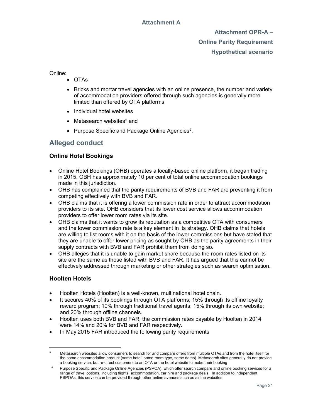Attachment OPR-A – Online Parity Requirement Hypothetical scenario

Online:

- OTAs
- Bricks and mortar travel agencies with an online presence, the number and variety of accommodation providers offered through such agencies is generally more limited than offered by OTA platforms
- Individual hotel websites
- Metasearch websites<sup>5</sup> and
- Purpose Specific and Package Online Agencies<sup>6</sup>.

## Alleged conduct

## Online Hotel Bookings

- Online Hotel Bookings (OHB) operates a locally-based online platform, it began trading in 2015. OBH has approximately 10 per cent of total online accommodation bookings made in this jurisdiction.
- OHB has complained that the parity requirements of BVB and FAR are preventing it from competing effectively with BVB and FAR.
- OHB claims that it is offering a lower commission rate in order to attract accommodation providers to its site. OHB considers that its lower cost service allows accommodation providers to offer lower room rates via its site.
- OHB claims that it wants to grow its reputation as a competitive OTA with consumers and the lower commission rate is a key element in its strategy. OHB claims that hotels are willing to list rooms with it on the basis of the lower commissions but have stated that they are unable to offer lower pricing as sought by OHB as the parity agreements in their supply contracts with BVB and FAR prohibit them from doing so.
- OHB alleges that it is unable to gain market share because the room rates listed on its site are the same as those listed with BVB and FAR. It has argued that this cannot be effectively addressed through marketing or other strategies such as search optimisation.

## Hoolten Hotels

-

- Hoolten Hotels (Hoolten) is a well-known, multinational hotel chain.
- It secures 40% of its bookings through OTA platforms; 15% through its offline loyalty reward program; 10% through traditional travel agents; 15% through its own website; and 20% through offline channels.
- Hoolten uses both BVB and FAR, the commission rates payable by Hoolten in 2014 were 14% and 20% for BVB and FAR respectively.
- In May 2015 FAR introduced the following parity requirements

<sup>5</sup> Metasearch websites allow consumers to search for and compare offers from multiple OTAs and from the hotel itself for the same accommodation product (same hotel, same room type, same dates). Metasearch sites generally do not provide a booking service, but re-direct customers to an OTA or the hotel website to make their booking

<sup>6</sup> Purpose Specific and Package Online Agencies (PSPOA), which offer search compare and online booking services for a range of travel options, including flights, accommodation, car hire and package deals. In addition to independent PSPOAs, this service can be provided through other online avenues such as airline websites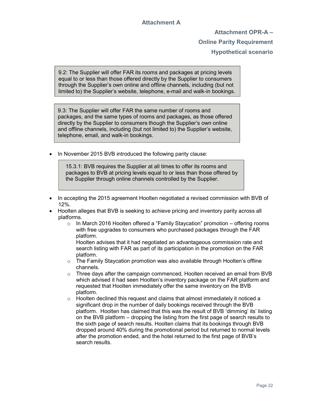Attachment OPR-A – Online Parity Requirement Hypothetical scenario

9.2: The Supplier will offer FAR its rooms and packages at pricing levels equal to or less than those offered directly by the Supplier to consumers through the Supplier's own online and offline channels, including (but not limited to) the Supplier's website, telephone, e-mail and walk-in bookings.

9.3: The Supplier will offer FAR the same number of rooms and packages, and the same types of rooms and packages, as those offered directly by the Supplier to consumers though the Supplier's own online and offline channels, including (but not limited to) the Supplier's website, telephone, email, and walk-in bookings.

In November 2015 BVB introduced the following parity clause:

 15.3.1: BVB requires the Supplier at all times to offer its rooms and packages to BVB at pricing levels equal to or less than those offered by the Supplier through online channels controlled by the Supplier.

- In accepting the 2015 agreement Hoolten negotiated a revised commission with BVB of 12%.
- Hoolten alleges that BVB is seeking to achieve pricing and inventory parity across all platforms.
	- o In March 2016 Hoolten offered a "Family Staycation" promotion offering rooms with free upgrades to consumers who purchased packages through the FAR platform.

Hoolten advises that it had negotiated an advantageous commission rate and search listing with FAR as part of its participation in the promotion on the FAR platform.

- o The Family Staycation promotion was also available through Hoolten's offline channels.
- $\circ$  Three days after the campaign commenced. Hoolten received an email from BVB which advised it had seen Hoolten's inventory package on the FAR platform and requested that Hoolten immediately offer the same inventory on the BVB platform.
- $\circ$  Hoolten declined this request and claims that almost immediately it noticed a significant drop in the number of daily bookings received through the BVB platform. Hoolten has claimed that this was the result of BVB 'dimming' its' listing on the BVB platform – dropping the listing from the first page of search results to the sixth page of search results. Hoolten claims that its bookings through BVB dropped around 40% during the promotional period but returned to normal levels after the promotion ended, and the hotel returned to the first page of BVB's search results.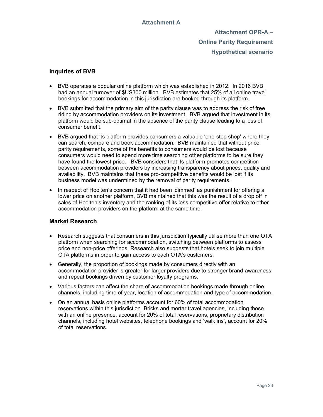Attachment OPR-A – Online Parity Requirement Hypothetical scenario

### Inquiries of BVB

- BVB operates a popular online platform which was established in 2012. In 2016 BVB had an annual turnover of \$US300 million. BVB estimates that 25% of all online travel bookings for accommodation in this jurisdiction are booked through its platform.
- BVB submitted that the primary aim of the parity clause was to address the risk of free riding by accommodation providers on its investment. BVB argued that investment in its platform would be sub-optimal in the absence of the parity clause leading to a loss of consumer benefit.
- BVB argued that its platform provides consumers a valuable 'one-stop shop' where they can search, compare and book accommodation. BVB maintained that without price parity requirements, some of the benefits to consumers would be lost because consumers would need to spend more time searching other platforms to be sure they have found the lowest price. BVB considers that its platform promotes competition between accommodation providers by increasing transparency about prices, quality and availability. BVB maintains that these pro-competitive benefits would be lost if its business model was undermined by the removal of parity requirements.
- In respect of Hoolten's concern that it had been 'dimmed' as punishment for offering a lower price on another platform, BVB maintained that this was the result of a drop off in sales of Hoolten's inventory and the ranking of its less competitive offer relative to other accommodation providers on the platform at the same time.

## Market Research

- Research suggests that consumers in this jurisdiction typically utilise more than one OTA platform when searching for accommodation, switching between platforms to assess price and non-price offerings. Research also suggests that hotels seek to join multiple OTA platforms in order to gain access to each OTA's customers.
- Generally, the proportion of bookings made by consumers directly with an accommodation provider is greater for larger providers due to stronger brand-awareness and repeat bookings driven by customer loyalty programs.
- Various factors can affect the share of accommodation bookings made through online channels, including time of year, location of accommodation and type of accommodation.
- On an annual basis online platforms account for 60% of total accommodation reservations within this jurisdiction. Bricks and mortar travel agencies, including those with an online presence, account for 20% of total reservations, proprietary distribution channels, including hotel websites, telephone bookings and 'walk ins', account for 20% of total reservations.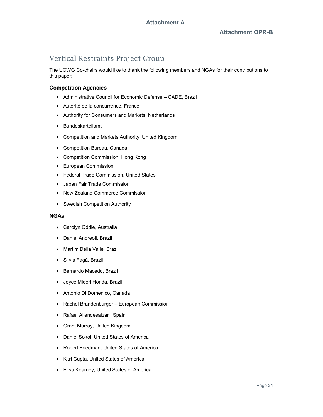## Vertical Restraints Project Group

The UCWG Co-chairs would like to thank the following members and NGAs for their contributions to this paper:

### Competition Agencies

- Administrative Council for Economic Defense CADE, Brazil
- Autorité de la concurrence, France
- Authority for Consumers and Markets, Netherlands
- Bundeskartellamt
- Competition and Markets Authority, United Kingdom
- Competition Bureau, Canada
- Competition Commission, Hong Kong
- European Commission
- Federal Trade Commission, United States
- Japan Fair Trade Commission
- New Zealand Commerce Commission
- Swedish Competition Authority

### NGAs

- Carolyn Oddie, Australia
- Daniel Andreoli, Brazil
- Martim Della Valle, Brazil
- Silvia Fagá, Brazil
- Bernardo Macedo, Brazil
- Joyce Midori Honda, Brazil
- Antonio Di Domenico, Canada
- Rachel Brandenburger European Commission
- Rafael Allendesalzar , Spain
- Grant Murray, United Kingdom
- Daniel Sokol, United States of America
- Robert Friedman, United States of America
- Kitri Gupta, United States of America
- Elisa Kearney, United States of America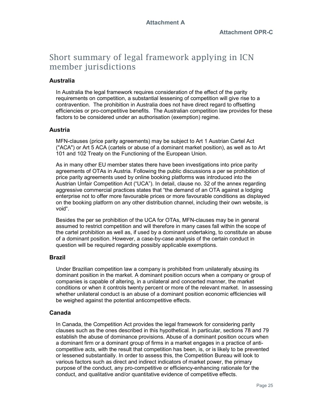## Short summary of legal framework applying in ICN member jurisdictions

## Australia

In Australia the legal framework requires consideration of the effect of the parity requirements on competition, a substantial lessening of competition will give rise to a contravention. The prohibition in Australia does not have direct regard to offsetting efficiencies or pro-competitive benefits. The Australian competition law provides for these factors to be considered under an authorisation (exemption) regime.

## Austria

MFN-clauses (price parity agreements) may be subject to Art 1 Austrian Cartel Act ("ACA") or Art 5 ACA (cartels or abuse of a dominant market position), as well as to Art 101 and 102 Treaty on the Functioning of the European Union.

As in many other EU member states there have been investigations into price parity agreements of OTAs in Austria. Following the public discussions a per se prohibition of price parity agreements used by online booking platforms was introduced into the Austrian Unfair Competition Act ("UCA"). In detail, clause no. 32 of the annex regarding aggressive commercial practices states that "the demand of an OTA against a lodging enterprise not to offer more favourable prices or more favourable conditions as displayed on the booking platform on any other distribution channel, including their own website, is void".

Besides the per se prohibition of the UCA for OTAs, MFN-clauses may be in general assumed to restrict competition and will therefore in many cases fall within the scope of the cartel prohibition as well as, if used by a dominant undertaking, to constitute an abuse of a dominant position. However, a case-by-case analysis of the certain conduct in question will be required regarding possibly applicable exemptions.

## Brazil

Under Brazilian competition law a company is prohibited from unilaterally abusing its dominant position in the market. A dominant position occurs when a company or group of companies is capable of altering, in a unilateral and concerted manner, the market conditions or when it controls twenty percent or more of the relevant market. In assessing whether unilateral conduct is an abuse of a dominant position economic efficiencies will be weighed against the potential anticompetitive effects.

## Canada

In Canada, the Competition Act provides the legal framework for considering parity clauses such as the ones described in this hypothetical. In particular, sections 78 and 79 establish the abuse of dominance provisions. Abuse of a dominant position occurs when a dominant firm or a dominant group of firms in a market engages in a practice of anticompetitive acts, with the result that competition has been, is, or is likely to be prevented or lessened substantially. In order to assess this, the Competition Bureau will look to various factors such as direct and indirect indicators of market power, the primary purpose of the conduct, any pro-competitive or efficiency-enhancing rationale for the conduct, and qualitative and/or quantitative evidence of competitive effects.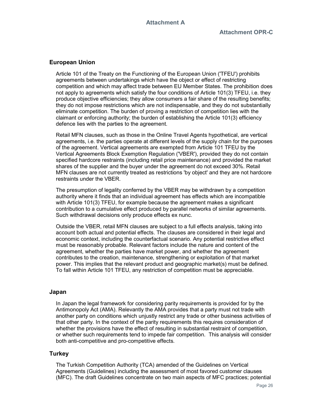### European Union

Article 101 of the Treaty on the Functioning of the European Union ('TFEU') prohibits agreements between undertakings which have the object or effect of restricting competition and which may affect trade between EU Member States. The prohibition does not apply to agreements which satisfy the four conditions of Article 101(3) TFEU, i.e. they produce objective efficiencies; they allow consumers a fair share of the resulting benefits; they do not impose restrictions which are not indispensable, and they do not substantially eliminate competition. The burden of proving a restriction of competition lies with the claimant or enforcing authority; the burden of establishing the Article 101(3) efficiency defence lies with the parties to the agreement.

Retail MFN clauses, such as those in the Online Travel Agents hypothetical, are vertical agreements, i.e. the parties operate at different levels of the supply chain for the purposes of the agreement. Vertical agreements are exempted from Article 101 TFEU by the Vertical Agreements Block Exemption Regulation ('VBER'), provided they do not contain specified hardcore restraints (including retail price maintenance) and provided the market shares of the supplier and the buyer under the agreement do not exceed 30%. Retail MFN clauses are not currently treated as restrictions 'by object' and they are not hardcore restraints under the VBER.

The presumption of legality conferred by the VBER may be withdrawn by a competition authority where it finds that an individual agreement has effects which are incompatible with Article 101(3) TFEU, for example because the agreement makes a significant contribution to a cumulative effect produced by parallel networks of similar agreements. Such withdrawal decisions only produce effects ex nunc.

Outside the VBER, retail MFN clauses are subject to a full effects analysis, taking into account both actual and potential effects. The clauses are considered in their legal and economic context, including the counterfactual scenario. Any potential restrictive effect must be reasonably probable. Relevant factors include the nature and content of the agreement, whether the parties have market power, and whether the agreement contributes to the creation, maintenance, strengthening or exploitation of that market power. This implies that the relevant product and geographic market(s) must be defined. To fall within Article 101 TFEU, any restriction of competition must be appreciable.

### Japan

In Japan the legal framework for considering parity requirements is provided for by the Antimonopoly Act (AMA). Relevantly the AMA provides that a party must not trade with another party on conditions which unjustly restrict any trade or other business activities of that other party. In the context of the parity requirements this requires consideration of whether the provisions have the effect of resulting in substantial restraint of competition, or whether such requirements tend to impede fair competition. This analysis will consider both anti-competitive and pro-competitive effects.

### **Turkey**

The Turkish Competition Authority (TCA) amended of the Guidelines on Vertical Agreements (Guidelines) including the assessment of most favored customer clauses (MFC). The draft Guidelines concentrate on two main aspects of MFC practices; potential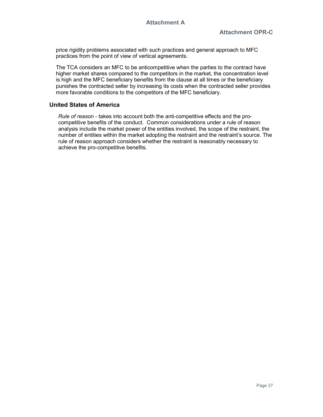price rigidity problems associated with such practices and general approach to MFC practices from the point of view of vertical agreements.

The TCA considers an MFC to be anticompetitive when the parties to the contract have higher market shares compared to the competitors in the market, the concentration level is high and the MFC beneficiary benefits from the clause at all times or the beneficiary punishes the contracted seller by increasing its costs when the contracted seller provides more favorable conditions to the competitors of the MFC beneficiary.

### United States of America

Rule of reason - takes into account both the anti-competitive effects and the procompetitive benefits of the conduct. Common considerations under a rule of reason analysis include the market power of the entities involved, the scope of the restraint, the number of entities within the market adopting the restraint and the restraint's source. The rule of reason approach considers whether the restraint is reasonably necessary to achieve the pro-competitive benefits.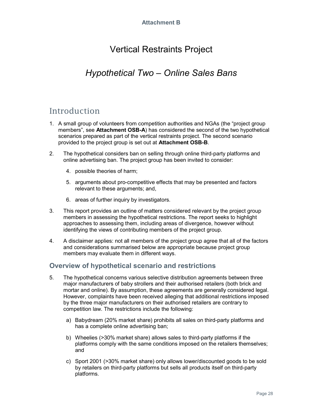# Vertical Restraints Project

## Hypothetical Two – Online Sales Bans

## Introduction

- 1. A small group of volunteers from competition authorities and NGAs (the "project group members", see **Attachment OSB-A**) has considered the second of the two hypothetical scenarios prepared as part of the vertical restraints project. The second scenario provided to the project group is set out at Attachment OSB-B.
- 2. The hypothetical considers ban on selling through online third-party platforms and online advertising ban. The project group has been invited to consider:
	- 4. possible theories of harm;
	- 5. arguments about pro-competitive effects that may be presented and factors relevant to these arguments; and,
	- 6. areas of further inquiry by investigators.
- 3. This report provides an outline of matters considered relevant by the project group members in assessing the hypothetical restrictions. The report seeks to highlight approaches to assessing them, including areas of divergence, however without identifying the views of contributing members of the project group.
- 4. A disclaimer applies: not all members of the project group agree that all of the factors and considerations summarised below are appropriate because project group members may evaluate them in different ways.

## Overview of hypothetical scenario and restrictions

- 5. The hypothetical concerns various selective distribution agreements between three major manufacturers of baby strollers and their authorised retailers (both brick and mortar and online). By assumption, these agreements are generally considered legal. However, complaints have been received alleging that additional restrictions imposed by the three major manufacturers on their authorised retailers are contrary to competition law. The restrictions include the following:
	- a) Babydream (20% market share) prohibits all sales on third-party platforms and has a complete online advertising ban;
	- b) Wheelies (>30% market share) allows sales to third-party platforms if the platforms comply with the same conditions imposed on the retailers themselves; and
	- c) Sport 2001 (>30% market share) only allows lower/discounted goods to be sold by retailers on third-party platforms but sells all products itself on third-party platforms.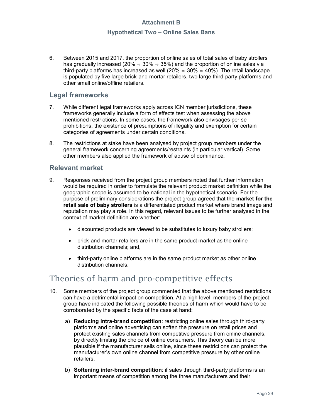### Hypothetical Two – Online Sales Bans

6. Between 2015 and 2017, the proportion of online sales of total sales of baby strollers has gradually increased (20%  $\Rightarrow$  30%  $\Rightarrow$  35%) and the proportion of online sales via third-party platforms has increased as well (20%  $\Rightarrow$  30%  $\Rightarrow$  40%). The retail landscape is populated by five large brick-and-mortar retailers, two large third-party platforms and other small online/offline retailers.

## Legal frameworks

- 7. While different legal frameworks apply across ICN member jurisdictions, these frameworks generally include a form of effects test when assessing the above mentioned restrictions. In some cases, the framework also envisages per se prohibitions, the existence of presumptions of illegality and exemption for certain categories of agreements under certain conditions.
- 8. The restrictions at stake have been analysed by project group members under the general framework concerning agreements/restraints (in particular vertical). Some other members also applied the framework of abuse of dominance.

## Relevant market

- 9. Responses received from the project group members noted that further information would be required in order to formulate the relevant product market definition while the geographic scope is assumed to be national in the hypothetical scenario. For the purpose of preliminary considerations the project group agreed that the market for the retail sale of baby strollers is a differentiated product market where brand image and reputation may play a role. In this regard, relevant issues to be further analysed in the context of market definition are whether:
	- discounted products are viewed to be substitutes to luxury baby strollers;
	- brick-and-mortar retailers are in the same product market as the online distribution channels; and,
	- third-party online platforms are in the same product market as other online distribution channels.

## Theories of harm and pro-competitive effects

- 10. Some members of the project group commented that the above mentioned restrictions can have a detrimental impact on competition. At a high level, members of the project group have indicated the following possible theories of harm which would have to be corroborated by the specific facts of the case at hand:
	- a) Reducing intra-brand competition: restricting online sales through third-party platforms and online advertising can soften the pressure on retail prices and protect existing sales channels from competitive pressure from online channels, by directly limiting the choice of online consumers. This theory can be more plausible if the manufacturer sells online, since these restrictions can protect the manufacturer's own online channel from competitive pressure by other online retailers.
	- b) Softening inter-brand competition: if sales through third-party platforms is an important means of competition among the three manufacturers and their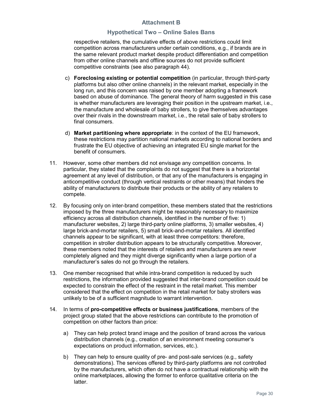### Hypothetical Two – Online Sales Bans

respective retailers, the cumulative effects of above restrictions could limit competition across manufacturers under certain conditions, e.g., if brands are in the same relevant product market despite product differentiation and competition from other online channels and offline sources do not provide sufficient competitive constraints (see also paragraph 44).

- c) Foreclosing existing or potential competition (in particular, through third-party platforms but also other online channels) in the relevant market, especially in the long run, and this concern was raised by one member adopting a framework based on abuse of dominance. The general theory of harm suggested in this case is whether manufacturers are leveraging their position in the upstream market, i.e., the manufacture and wholesale of baby strollers, to give themselves advantages over their rivals in the downstream market, i.e., the retail sale of baby strollers to final consumers.
- d) Market partitioning where appropriate: in the context of the EU framework, these restrictions may partition national markets according to national borders and frustrate the EU objective of achieving an integrated EU single market for the benefit of consumers.
- 11. However, some other members did not envisage any competition concerns. In particular, they stated that the complaints do not suggest that there is a horizontal agreement at any level of distribution, or that any of the manufacturers is engaging in anticompetitive conduct (through vertical restraints or other means) that hinders the ability of manufacturers to distribute their products or the ability of any retailers to compete.
- 12. By focusing only on inter-brand competition, these members stated that the restrictions imposed by the three manufacturers might be reasonably necessary to maximize efficiency across all distribution channels, identified in the number of five: 1) manufacturer websites, 2) large third-party online platforms, 3) smaller websites, 4) large brick-and-mortar retailers, 5) small brick-and-mortar retailers. All identified channels appear to be significant, with at least three competitors: therefore, competition in stroller distribution appears to be structurally competitive. Moreover, these members noted that the interests of retailers and manufacturers are never completely aligned and they might diverge significantly when a large portion of a manufacturer's sales do not go through the retailers.
- 13. One member recognised that while intra-brand competition is reduced by such restrictions, the information provided suggested that inter-brand competition could be expected to constrain the effect of the restraint in the retail market. This member considered that the effect on competition in the retail market for baby strollers was unlikely to be of a sufficient magnitude to warrant intervention.
- 14. In terms of pro-competitive effects or business justifications, members of the project group stated that the above restrictions can contribute to the promotion of competition on other factors than price:
	- a) They can help protect brand image and the position of brand across the various distribution channels (e.g., creation of an environment meeting consumer's expectations on product information, services, etc.).
	- b) They can help to ensure quality of pre- and post-sale services (e.g., safety demonstrations). The services offered by third-party platforms are not controlled by the manufacturers, which often do not have a contractual relationship with the online marketplaces, allowing the former to enforce qualitative criteria on the latter.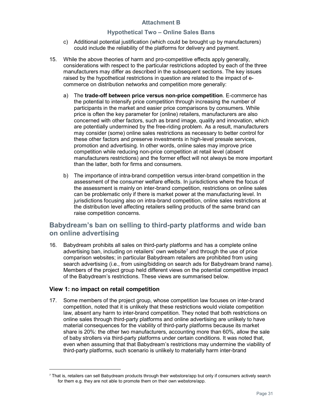### Hypothetical Two – Online Sales Bans

- c) Additional potential justification (which could be brought up by manufacturers) could include the reliability of the platforms for delivery and payment.
- 15. While the above theories of harm and pro-competitive effects apply generally, considerations with respect to the particular restrictions adopted by each of the three manufacturers may differ as described in the subsequent sections. The key issues raised by the hypothetical restrictions in question are related to the impact of ecommerce on distribution networks and competition more generally:
	- a) The trade-off between price versus non-price competition. E-commerce has the potential to intensify price competition through increasing the number of participants in the market and easier price comparisons by consumers. While price is often the key parameter for (online) retailers, manufacturers are also concerned with other factors, such as brand image, quality and innovation, which are potentially undermined by the free-riding problem. As a result, manufacturers may consider (some) online sales restrictions as necessary to better control for these other factors and preserve investments in high-level presale services, promotion and advertising. In other words, online sales may improve price competition while reducing non-price competition at retail level (absent manufacturers restrictions) and the former effect will not always be more important than the latter, both for firms and consumers.
	- b) The importance of intra-brand competition versus inter-brand competition in the assessment of the consumer welfare effects. In jurisdictions where the focus of the assessment is mainly on inter-brand competition, restrictions on online sales can be problematic only if there is market power at the manufacturing level. In jurisdictions focusing also on intra-brand competition, online sales restrictions at the distribution level affecting retailers selling products of the same brand can raise competition concerns.

## Babydream's ban on selling to third-party platforms and wide ban on online advertising

16. Babydream prohibits all sales on third-party platforms and has a complete online advertising ban, including on retailers' own website<sup>7</sup> and through the use of price comparison websites; in particular Babydream retailers are prohibited from using search advertising (i.e., from using/bidding on search ads for Babydream brand name). Members of the project group held different views on the potential competitive impact of the Babydream's restrictions. These views are summarised below.

### View 1: no impact on retail competition

-

17. Some members of the project group, whose competition law focuses on inter-brand competition, noted that it is unlikely that these restrictions would violate competition law, absent any harm to inter-brand competition. They noted that both restrictions on online sales through third-party platforms and online advertising are unlikely to have material consequences for the viability of third-party platforms because its market share is 20%: the other two manufacturers, accounting more than 60%, allow the sale of baby strollers via third-party platforms under certain conditions. It was noted that, even when assuming that that Babydream's restrictions may undermine the viability of third-party platforms, such scenario is unlikely to materially harm inter-brand

 $7$  That is, retailers can sell Babydream products through their webstore/app but only if consumers actively search for them e.g. they are not able to promote them on their own webstore/app.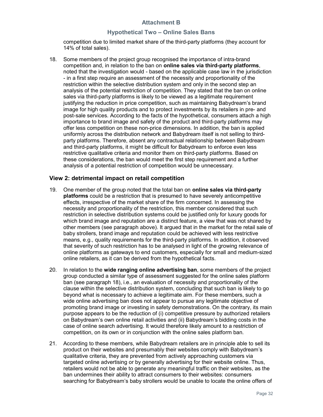### Hypothetical Two – Online Sales Bans

competition due to limited market share of the third-party platforms (they account for 14% of total sales).

18. Some members of the project group recognised the importance of intra-brand competition and, in relation to the ban on online sales via third-party platforms, noted that the investigation would - based on the applicable case law in the jurisdiction - in a first step require an assessment of the necessity and proportionality of the restriction within the selective distribution system and only in the second step an analysis of the potential restriction of competition. They stated that the ban on online sales via third-party platforms is likely to be viewed as a legitimate requirement justifying the reduction in price competition, such as maintaining Babydream's brand image for high quality products and to protect investments by its retailers in pre- and post-sale services. According to the facts of the hypothetical, consumers attach a high importance to brand image and safety of the product and third-party platforms may offer less competition on these non-price dimensions. In addition, the ban is applied uniformly across the distribution network and Babydream itself is not selling to thirdparty platforms. Therefore, absent any contractual relationship between Babydream and third-party platforms, it might be difficult for Babydream to enforce even less restrictive qualitative criteria and monitor them on third-party platforms. Based on these considerations, the ban would meet the first step requirement and a further analysis of a potential restriction of competition would be unnecessary.

### View 2: detrimental impact on retail competition

- 19. One member of the group noted that the total ban on **online sales via third-party** platforms could be a restriction that is presumed to have severely anticompetitive effects, irrespective of the market share of the firm concerned. In assessing the necessity and proportionality of the restriction, this member considered that such restriction in selective distribution systems could be justified only for luxury goods for which brand image and reputation are a distinct feature, a view that was not shared by other members (see paragraph above). It argued that in the market for the retail sale of baby strollers, brand image and reputation could be achieved with less restrictive means, e.g., quality requirements for the third-party platforms. In addition, it observed that severity of such restriction has to be analysed in light of the growing relevance of online platforms as gateways to end customers, especially for small and medium-sized online retailers, as it can be derived from the hypothetical facts.
- 20. In relation to the wide ranging online advertising ban, some members of the project group conducted a similar type of assessment suggested for the online sales platform ban (see paragraph 18), i.e., an evaluation of necessity and proportionality of the clause within the selective distribution system, concluding that such ban is likely to go beyond what is necessary to achieve a legitimate aim. For these members, such a wide online advertising ban does not appear to pursue any legitimate objective of promoting brand image or investing in safety demonstrations. On the contrary, its main purpose appears to be the reduction of (i) competitive pressure by authorized retailers on Babydream's own online retail activities and (ii) Babydream's bidding costs in the case of online search advertising. It would therefore likely amount to a restriction of competition, on its own or in conjunction with the online sales platform ban.
- 21. According to these members, while Babydream retailers are in principle able to sell its product on their websites and presumably their websites comply with Babydream's qualitative criteria, they are prevented from actively approaching customers via targeted online advertising or by generally advertising for their website online. Thus, retailers would not be able to generate any meaningful traffic on their websites, as the ban undermines their ability to attract consumers to their websites: consumers searching for Babydream's baby strollers would be unable to locate the online offers of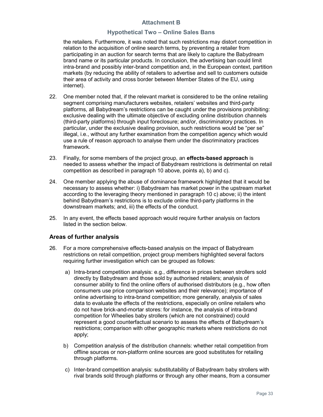### Hypothetical Two – Online Sales Bans

the retailers. Furthermore, it was noted that such restrictions may distort competition in relation to the acquisition of online search terms, by preventing a retailer from participating in an auction for search terms that are likely to capture the Babydream brand name or its particular products. In conclusion, the advertising ban could limit intra-brand and possibly inter-brand competition and, in the European context, partition markets (by reducing the ability of retailers to advertise and sell to customers outside their area of activity and cross border between Member States of the EU, using internet).

- 22. One member noted that, if the relevant market is considered to be the online retailing segment comprising manufacturers websites, retailers' websites and third-party platforms, all Babydream's restrictions can be caught under the provisions prohibiting: exclusive dealing with the ultimate objective of excluding online distribution channels (third-party platforms) through input foreclosure; and/or, discriminatory practices. In particular, under the exclusive dealing provision, such restrictions would be "per se" illegal, i.e., without any further examination from the competition agency which would use a rule of reason approach to analyse them under the discriminatory practices framework.
- 23. Finally, for some members of the project group, an **effects-based approach** is needed to assess whether the impact of Babydream restrictions is detrimental on retail competition as described in paragraph 10 above, points a), b) and c).
- 24. One member applying the abuse of dominance framework highlighted that it would be necessary to assess whether: i) Babydream has market power in the upstream market according to the leveraging theory mentioned in paragraph 10 c) above; ii) the intent behind Babydream's restrictions is to exclude online third-party platforms in the downstream markets; and, iii) the effects of the conduct.
- 25. In any event, the effects based approach would require further analysis on factors listed in the section below.

## Areas of further analysis

- 26. For a more comprehensive effects-based analysis on the impact of Babydream restrictions on retail competition, project group members highlighted several factors requiring further investigation which can be grouped as follows:
	- a) Intra-brand competition analysis: e.g., difference in prices between strollers sold directly by Babydream and those sold by authorised retailers; analysis of consumer ability to find the online offers of authorised distributors (e.g., how often consumers use price comparison websites and their relevance); importance of online advertising to intra-brand competition; more generally, analysis of sales data to evaluate the effects of the restrictions, especially on online retailers who do not have brick-and-mortar stores: for instance, the analysis of intra-brand competition for Wheelies baby strollers (which are not constrained) could represent a good counterfactual scenario to assess the effects of Babydream's restrictions; comparison with other geographic markets where restrictions do not apply;
	- b) Competition analysis of the distribution channels: whether retail competition from offline sources or non-platform online sources are good substitutes for retailing through platforms.
	- c) Inter-brand competition analysis: substitutability of Babydream baby strollers with rival brands sold through platforms or through any other means, from a consumer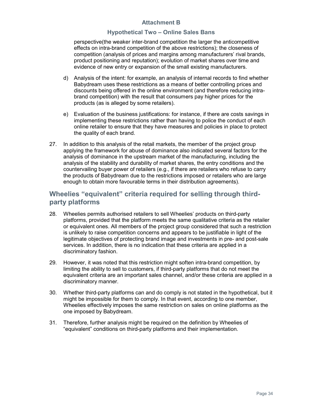### Hypothetical Two – Online Sales Bans

perspective(the weaker inter-brand competition the larger the anticompetitive effects on intra-brand competition of the above restrictions); the closeness of competition (analysis of prices and margins among manufacturers' rival brands, product positioning and reputation); evolution of market shares over time and evidence of new entry or expansion of the small existing manufacturers.

- d) Analysis of the intent: for example, an analysis of internal records to find whether Babydream uses these restrictions as a means of better controlling prices and discounts being offered in the online environment (and therefore reducing intrabrand competition) with the result that consumers pay higher prices for the products (as is alleged by some retailers).
- e) Evaluation of the business justifications: for instance, if there are costs savings in implementing these restrictions rather than having to police the conduct of each online retailer to ensure that they have measures and policies in place to protect the quality of each brand.
- 27. In addition to this analysis of the retail markets, the member of the project group applying the framework for abuse of dominance also indicated several factors for the analysis of dominance in the upstream market of the manufacturing, including the analysis of the stability and durability of market shares, the entry conditions and the countervailing buyer power of retailers (e.g., if there are retailers who refuse to carry the products of Babydream due to the restrictions imposed or retailers who are large enough to obtain more favourable terms in their distribution agreements).

## Wheelies "equivalent" criteria required for selling through thirdparty platforms

- 28. Wheelies permits authorised retailers to sell Wheelies' products on third-party platforms, provided that the platform meets the same qualitative criteria as the retailer or equivalent ones. All members of the project group considered that such a restriction is unlikely to raise competition concerns and appears to be justifiable in light of the legitimate objectives of protecting brand image and investments in pre- and post-sale services. In addition, there is no indication that these criteria are applied in a discriminatory fashion.
- 29. However, it was noted that this restriction might soften intra-brand competition, by limiting the ability to sell to customers, if third-party platforms that do not meet the equivalent criteria are an important sales channel, and/or these criteria are applied in a discriminatory manner.
- 30. Whether third-party platforms can and do comply is not stated in the hypothetical, but it might be impossible for them to comply. In that event, according to one member, Wheelies effectively imposes the same restriction on sales on online platforms as the one imposed by Babydream.
- 31. Therefore, further analysis might be required on the definition by Wheelies of "equivalent" conditions on third-party platforms and their implementation.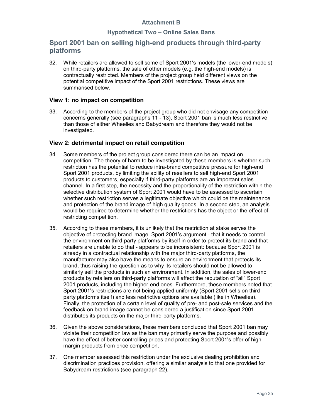## Hypothetical Two – Online Sales Bans

## Sport 2001 ban on selling high-end products through third-party platforms

32. While retailers are allowed to sell some of Sport 2001's models (the lower-end models) on third-party platforms, the sale of other models (e.g. the high-end models) is contractually restricted. Members of the project group held different views on the potential competitive impact of the Sport 2001 restrictions. These views are summarised below.

### View 1: no impact on competition

33. According to the members of the project group who did not envisage any competition concerns generally (see paragraphs 11 - 13), Sport 2001 ban is much less restrictive than those of either Wheelies and Babydream and therefore they would not be investigated.

### View 2: detrimental impact on retail competition

- 34. Some members of the project group considered there can be an impact on competition. The theory of harm to be investigated by these members is whether such restriction has the potential to reduce intra-brand competitive pressure for high-end Sport 2001 products, by limiting the ability of resellers to sell high-end Sport 2001 products to customers, especially if third-party platforms are an important sales channel. In a first step, the necessity and the proportionality of the restriction within the selective distribution system of Sport 2001 would have to be assessed to ascertain whether such restriction serves a legitimate objective which could be the maintenance and protection of the brand image of high quality goods. In a second step, an analysis would be required to determine whether the restrictions has the object or the effect of restricting competition.
- 35. According to these members, it is unlikely that the restriction at stake serves the objective of protecting brand image. Sport 2001's argument - that it needs to control the environment on third-party platforms by itself in order to protect its brand and that retailers are unable to do that - appears to be inconsistent: because Sport 2001 is already in a contractual relationship with the major third-party platforms, the manufacturer may also have the means to ensure an environment that protects its brand, thus raising the question as to why its retailers should not be allowed to similarly sell the products in such an environment. In addition, the sales of lower-end products by retailers on third-party platforms will affect the reputation of "all" Sport 2001 products, including the higher-end ones. Furthermore, these members noted that Sport 2001's restrictions are not being applied uniformly (Sport 2001 sells on thirdparty platforms itself) and less restrictive options are available (like in Wheelies). Finally, the protection of a certain level of quality of pre- and post-sale services and the feedback on brand image cannot be considered a justification since Sport 2001 distributes its products on the major third-party platforms.
- 36. Given the above considerations, these members concluded that Sport 2001 ban may violate their competition law as the ban may primarily serve the purpose and possibly have the effect of better controlling prices and protecting Sport 2001's offer of high margin products from price competition.
- 37. One member assessed this restriction under the exclusive dealing prohibition and discrimination practices provision, offering a similar analysis to that one provided for Babydream restrictions (see paragraph 22).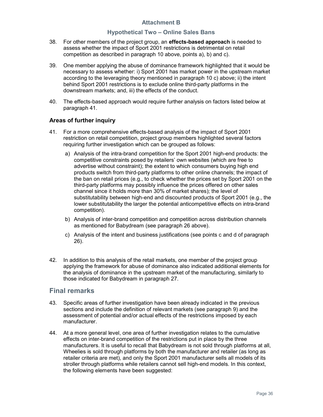### Hypothetical Two – Online Sales Bans

- 38. For other members of the project group, an **effects-based approach** is needed to assess whether the impact of Sport 2001 restrictions is detrimental on retail competition as described in paragraph 10 above, points a), b) and c).
- 39. One member applying the abuse of dominance framework highlighted that it would be necessary to assess whether: i) Sport 2001 has market power in the upstream market according to the leveraging theory mentioned in paragraph 10 c) above; ii) the intent behind Sport 2001 restrictions is to exclude online third-party platforms in the downstream markets; and, iii) the effects of the conduct.
- 40. The effects-based approach would require further analysis on factors listed below at paragraph 41.

## Areas of further inquiry

- 41. For a more comprehensive effects-based analysis of the impact of Sport 2001 restriction on retail competition, project group members highlighted several factors requiring further investigation which can be grouped as follows:
	- a) Analysis of the intra-brand competition for the Sport 2001 high-end products: the competitive constraints posed by retailers' own websites (which are free to advertise without constraint); the extent to which consumers buying high end products switch from third-party platforms to other online channels; the impact of the ban on retail prices (e.g., to check whether the prices set by Sport 2001 on the third-party platforms may possibly influence the prices offered on other sales channel since it holds more than 30% of market shares); the level of substitutability between high-end and discounted products of Sport 2001 (e.g., the lower substitutability the larger the potential anticompetitive effects on intra-brand competition).
	- b) Analysis of inter-brand competition and competition across distribution channels as mentioned for Babydream (see paragraph 26 above).
	- c) Analysis of the intent and business justifications (see points c and d of paragraph 26).
- 42. In addition to this analysis of the retail markets, one member of the project group applying the framework for abuse of dominance also indicated additional elements for the analysis of dominance in the upstream market of the manufacturing, similarly to those indicated for Babydream in paragraph 27.

## Final remarks

- 43. Specific areas of further investigation have been already indicated in the previous sections and include the definition of relevant markets (see paragraph 9) and the assessment of potential and/or actual effects of the restrictions imposed by each manufacturer.
- 44. At a more general level, one area of further investigation relates to the cumulative effects on inter-brand competition of the restrictions put in place by the three manufacturers. It is useful to recall that Babydream is not sold through platforms at all, Wheelies is sold through platforms by both the manufacturer and retailer (as long as retailer criteria are met), and only the Sport 2001 manufacturer sells all models of its stroller through platforms while retailers cannot sell high-end models. In this context, the following elements have been suggested: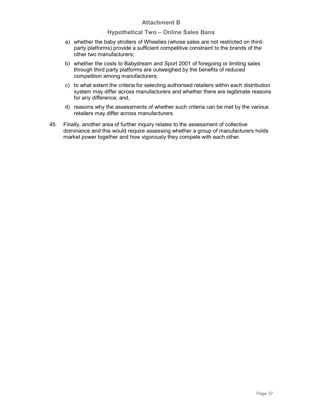### Hypothetical Two – Online Sales Bans

- a) whether the baby strollers of Wheelies (whose sales are not restricted on thirdparty platforms) provide a sufficient competitive constraint to the brands of the other two manufacturers;
- b) whether the costs to Babydream and Sport 2001 of foregoing or limiting sales through third party platforms are outweighed by the benefits of reduced competition among manufacturers;
- c) to what extent the criteria for selecting authorised retailers within each distribution system may differ across manufacturers and whether there are legitimate reasons for any difference; and,
- d) reasons why the assessments of whether such criteria can be met by the various retailers may differ across manufacturers.
- 45. Finally, another area of further inquiry relates to the assessment of collective dominance and this would require assessing whether a group of manufacturers holds market power together and how vigorously they compete with each other.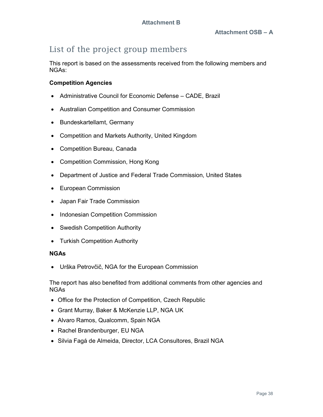## List of the project group members

This report is based on the assessments received from the following members and NGAs:

## Competition Agencies

- Administrative Council for Economic Defense CADE, Brazil
- Australian Competition and Consumer Commission
- Bundeskartellamt, Germany
- Competition and Markets Authority, United Kingdom
- Competition Bureau, Canada
- Competition Commission, Hong Kong
- Department of Justice and Federal Trade Commission, United States
- European Commission
- Japan Fair Trade Commission
- Indonesian Competition Commission
- Swedish Competition Authority
- Turkish Competition Authority

## NGAs

Urška Petrovčič, NGA for the European Commission

The report has also benefited from additional comments from other agencies and NGAs

- Office for the Protection of Competition, Czech Republic
- Grant Murray, Baker & McKenzie LLP, NGA UK
- Alvaro Ramos, Qualcomm, Spain NGA
- Rachel Brandenburger, EU NGA
- Silvia Fagá de Almeida, Director, LCA Consultores, Brazil NGA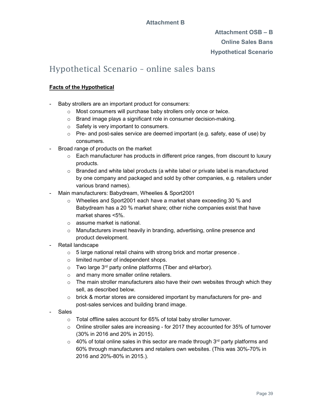## Attachment OSB – B Online Sales Bans Hypothetical Scenario

## Hypothetical Scenario – online sales bans

## Facts of the Hypothetical

- Baby strollers are an important product for consumers:
	- o Most consumers will purchase baby strollers only once or twice.
	- o Brand image plays a significant role in consumer decision-making.
	- o Safety is very important to consumers.
	- $\circ$  Pre- and post-sales service are deemed important (e.g. safety, ease of use) by consumers.
- Broad range of products on the market
	- o Each manufacturer has products in different price ranges, from discount to luxury products.
	- $\circ$  Branded and white label products (a white label or private label is manufactured by one company and packaged and sold by other companies, e.g. retailers under various brand names).
- Main manufacturers: Babydream, Wheelies & Sport2001
	- o Wheelies and Sport2001 each have a market share exceeding 30 % and Babydream has a 20 % market share; other niche companies exist that have market shares <5%.
	- o assume market is national.
	- $\circ$  Manufacturers invest heavily in branding, advertising, online presence and product development.
- Retail landscape
	- o 5 large national retail chains with strong brick and mortar presence .
	- o limited number of independent shops.
	- $\circ$  Two large 3<sup>rd</sup> party online platforms (Tiber and eHarbor).
	- o and many more smaller online retailers.
	- $\circ$  The main stroller manufacturers also have their own websites through which they sell, as described below.
	- o brick & mortar stores are considered important by manufacturers for pre- and post-sales services and building brand image.
- **Sales** 
	- o Total offline sales account for 65% of total baby stroller turnover.
	- $\circ$  Online stroller sales are increasing for 2017 they accounted for 35% of turnover (30% in 2016 and 20% in 2015).
	- $\circ$  40% of total online sales in this sector are made through 3<sup>rd</sup> party platforms and 60% through manufacturers and retailers own websites. (This was 30%-70% in 2016 and 20%-80% in 2015.).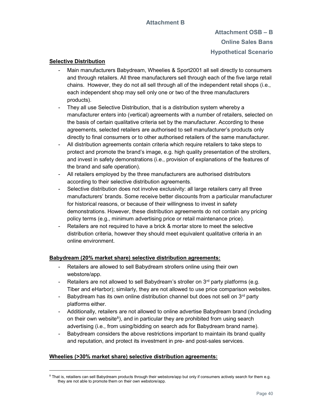## Attachment OSB – B Online Sales Bans Hypothetical Scenario

### Selective Distribution

- Main manufacturers Babydream, Wheelies & Sport2001 all sell directly to consumers and through retailers. All three manufacturers sell through each of the five large retail chains. However, they do not all sell through all of the independent retail shops (i.e., each independent shop may sell only one or two of the three manufacturers products).
- They all use Selective Distribution, that is a distribution system whereby a manufacturer enters into (vertical) agreements with a number of retailers, selected on the basis of certain qualitative criteria set by the manufacturer. According to these agreements, selected retailers are authorised to sell manufacturer's products only directly to final consumers or to other authorised retailers of the same manufacturer.
- All distribution agreements contain criteria which require retailers to take steps to protect and promote the brand's image, e.g. high quality presentation of the strollers, and invest in safety demonstrations (i.e., provision of explanations of the features of the brand and safe operation).
- All retailers employed by the three manufacturers are authorised distributors according to their selective distribution agreements.
- Selective distribution does not involve exclusivity: all large retailers carry all three manufacturers' brands. Some receive better discounts from a particular manufacturer for historical reasons, or because of their willingness to invest in safety demonstrations. However, these distribution agreements do not contain any pricing policy terms (e.g., minimum advertising price or retail maintenance price).
- Retailers are not required to have a brick & mortar store to meet the selective distribution criteria, however they should meet equivalent qualitative criteria in an online environment.

### Babydream (20% market share) selective distribution agreements:

- Retailers are allowed to sell Babydream strollers online using their own webstore/app.
- Retailers are not allowed to sell Babydream's stroller on  $3<sup>rd</sup>$  party platforms (e.g. Tiber and eHarbor); similarly, they are not allowed to use price comparison websites.
- Babydream has its own online distribution channel but does not sell on  $3<sup>rd</sup>$  party platforms either.
- Additionally, retailers are not allowed to online advertise Babydream brand (including on their own website<sup>8</sup>), and in particular they are prohibited from using search advertising (i.e., from using/bidding on search ads for Babydream brand name).
- Babydream considers the above restrictions important to maintain its brand quality and reputation, and protect its investment in pre- and post-sales services.

### Wheelies (>30% market share) selective distribution agreements:

-

 $^8$  That is, retailiers can sell Babydream products through their webstore/app but only if consumers actively search for them e.g. they are not able to promote them on their own webstore/app.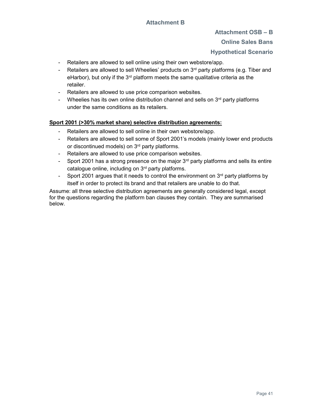### Attachment OSB – B

### Online Sales Bans

## Hypothetical Scenario

- Retailers are allowed to sell online using their own webstore/app.
- Retailers are allowed to sell Wheelies' products on  $3<sup>rd</sup>$  party platforms (e.g. Tiber and eHarbor), but only if the  $3<sup>rd</sup>$  platform meets the same qualitative criteria as the retailer.
- Retailers are allowed to use price comparison websites.
- Wheelies has its own online distribution channel and sells on  $3<sup>rd</sup>$  party platforms under the same conditions as its retailers.

### Sport 2001 (>30% market share) selective distribution agreements:

- Retailers are allowed to sell online in their own webstore/app.
- Retailers are allowed to sell some of Sport 2001's models (mainly lower end products or discontinued models) on 3<sup>rd</sup> party platforms.
- Retailers are allowed to use price comparison websites.
- Sport 2001 has a strong presence on the major  $3<sup>rd</sup>$  party platforms and sells its entire catalogue online, including on 3rd party platforms.
- Sport 2001 argues that it needs to control the environment on  $3<sup>rd</sup>$  party platforms by itself in order to protect its brand and that retailers are unable to do that.

Assume: all three selective distribution agreements are generally considered legal, except for the questions regarding the platform ban clauses they contain. They are summarised below.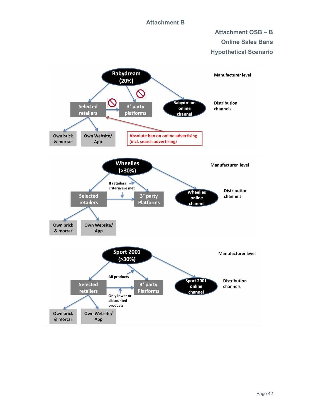## Attachment OSB – B Online Sales Bans Hypothetical Scenario